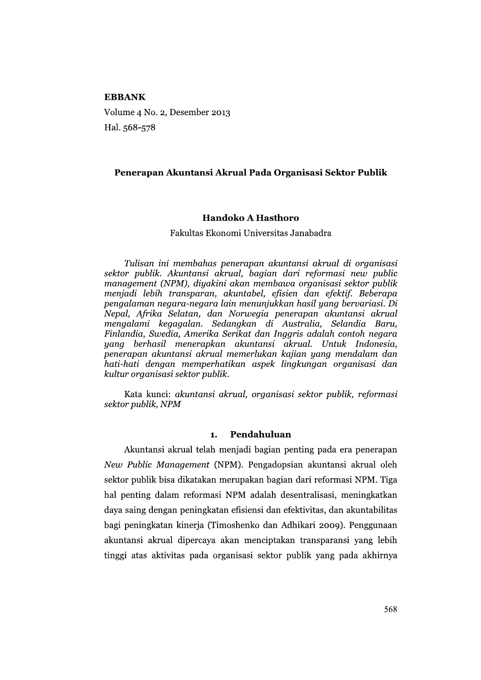### **EBBANK**

Volume 4 No. 2, Desember 2013 Hal. 568-578

### Penerapan Akuntansi Akrual Pada Organisasi Sektor Publik

### Handoko A Hasthoro

#### Fakultas Ekonomi Universitas Janabadra

Tulisan ini membahas penerapan akuntansi akrual di organisasi sektor publik. Akuntansi akrual, bagian dari reformasi new public management (NPM), diyakini akan membawa organisasi sektor publik menjadi lebih transparan, akuntabel, efisien dan efektif. Beberapa pengalaman negara-negara lain menunjukkan hasil yang bervariasi. Di Nepal, Afrika Selatan, dan Norwegia penerapan akuntansi akrual mengalami kegagalan. Sedangkan di Australia, Selandia Baru, Finlandia, Swedia, Amerika Serikat dan Inggris adalah contoh negara yang berhasil menerapkan akuntansi akrual. Untuk Indonesia, penerapan akuntansi akrual memerlukan kajian yang mendalam dan hati-hati dengan memperhatikan aspek lingkungan organisasi dan kultur organisasi sektor publik.

Kata kunci: akuntansi akrual, organisasi sektor publik, reformasi sektor publik, NPM

#### $\mathbf{1}$ . Pendahuluan

Akuntansi akrual telah menjadi bagian penting pada era penerapan New Public Management (NPM). Pengadopsian akuntansi akrual oleh sektor publik bisa dikatakan merupakan bagian dari reformasi NPM. Tiga hal penting dalam reformasi NPM adalah desentralisasi, meningkatkan daya saing dengan peningkatan efisiensi dan efektivitas, dan akuntabilitas bagi peningkatan kinerja (Timoshenko dan Adhikari 2009). Penggunaan akuntansi akrual dipercaya akan menciptakan transparansi yang lebih tinggi atas aktivitas pada organisasi sektor publik yang pada akhirnya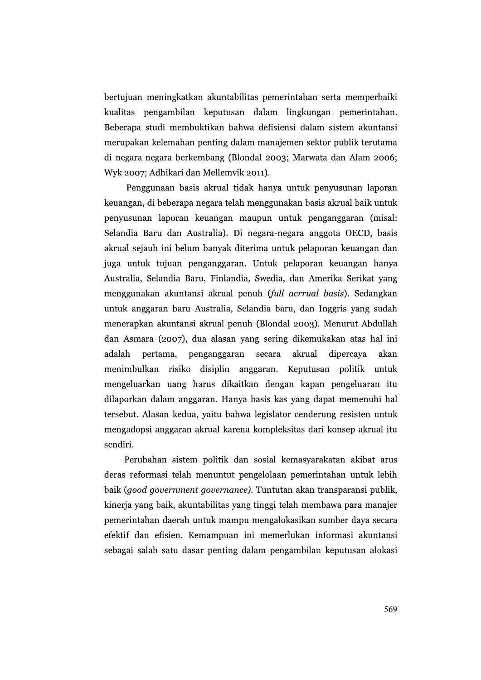bertujuan meningkatkan akuntabilitas pemerintahan serta memperbaiki kualitas pengambilan keputusan dalam lingkungan pemerintahan. Beberapa studi membuktikan bahwa defisiensi dalam sistem akuntansi merupakan kelemahan penting dalam manajemen sektor publik terutama di negara-negara berkembang (Blondal 2003; Marwata dan Alam 2006; Wyk 2007; Adhikari dan Mellemvik 2011).

Penggunaan basis akrual tidak hanya untuk penyusunan laporan keuangan, di beberapa negara telah menggunakan basis akrual baik untuk penyusunan laporan keuangan maupun untuk penganggaran (misal: Selandia Baru dan Australia). Di negara-negara anggota OECD, basis akrual sejauh ini belum banyak diterima untuk pelaporan keuangan dan juga untuk tujuan penganggaran. Untuk pelaporan keuangan hanya Australia, Selandia Baru, Finlandia, Swedia, dan Amerika Serikat yang menggunakan akuntansi akrual penuh (full acrrual basis). Sedangkan untuk anggaran baru Australia, Selandia baru, dan Inggris yang sudah menerapkan akuntansi akrual penuh (Blondal 2003). Menurut Abdullah dan Asmara (2007), dua alasan yang sering dikemukakan atas hal ini adalah pertama, penganggaran secara akrual dipercava akan menimbulkan risiko disiplin anggaran. Keputusan politik untuk mengeluarkan uang harus dikaitkan dengan kapan pengeluaran itu dilaporkan dalam anggaran. Hanya basis kas yang dapat memenuhi hal tersebut. Alasan kedua, yaitu bahwa legislator cenderung resisten untuk mengadopsi anggaran akrual karena kompleksitas dari konsep akrual itu sendiri.

Perubahan sistem politik dan sosial kemasyarakatan akibat arus deras reformasi telah menuntut pengelolaan pemerintahan untuk lebih baik (good government governance). Tuntutan akan transparansi publik, kinerja yang baik, akuntabilitas yang tinggi telah membawa para manajer pemerintahan daerah untuk mampu mengalokasikan sumber daya secara efektif dan efisien. Kemampuan ini memerlukan informasi akuntansi sebagai salah satu dasar penting dalam pengambilan keputusan alokasi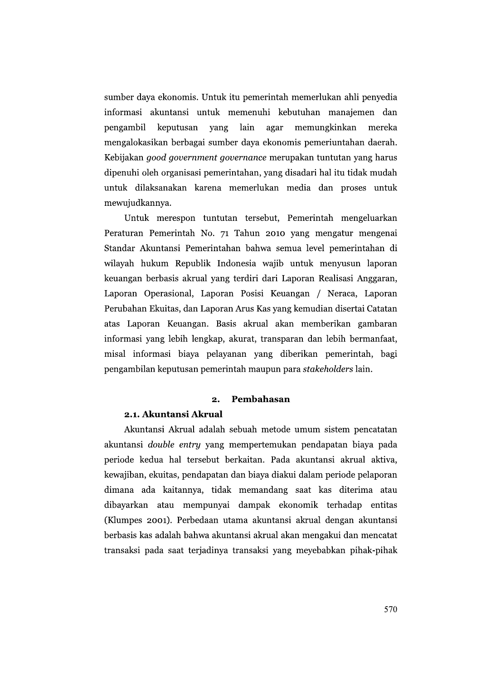sumber daya ekonomis. Untuk itu pemerintah memerlukan ahli penyedia informasi akuntansi untuk memenuhi kebutuhan manajemen dan pengambil keputusan yang lain agar memungkinkan mereka mengalokasikan berbagai sumber daya ekonomis pemeriuntahan daerah. Kebijakan good government governance merupakan tuntutan yang harus dipenuhi oleh organisasi pemerintahan, yang disadari hal itu tidak mudah untuk dilaksanakan karena memerlukan media dan proses untuk mewujudkannya.

Untuk merespon tuntutan tersebut, Pemerintah mengeluarkan Peraturan Pemerintah No. 71 Tahun 2010 yang mengatur mengenai Standar Akuntansi Pemerintahan bahwa semua level pemerintahan di wilayah hukum Republik Indonesia wajib untuk menyusun laporan keuangan berbasis akrual yang terdiri dari Laporan Realisasi Anggaran, Laporan Operasional, Laporan Posisi Keuangan / Neraca, Laporan Perubahan Ekuitas, dan Laporan Arus Kas yang kemudian disertai Catatan atas Laporan Keuangan. Basis akrual akan memberikan gambaran informasi yang lebih lengkap, akurat, transparan dan lebih bermanfaat, misal informasi biaya pelayanan yang diberikan pemerintah, bagi pengambilan keputusan pemerintah maupun para stakeholders lain.

#### $\mathbf{o}$ Pembahasan

## 2.1. Akuntansi Akrual

Akuntansi Akrual adalah sebuah metode umum sistem pencatatan akuntansi *double entry* yang mempertemukan pendapatan biaya pada periode kedua hal tersebut berkaitan. Pada akuntansi akrual aktiva, kewajiban, ekuitas, pendapatan dan biaya diakui dalam periode pelaporan dimana ada kaitannya, tidak memandang saat kas diterima atau dibayarkan atau mempunyai dampak ekonomik terhadap entitas (Klumpes 2001). Perbedaan utama akuntansi akrual dengan akuntansi berbasis kas adalah bahwa akuntansi akrual akan mengakui dan mencatat transaksi pada saat terjadinya transaksi yang meyebabkan pihak-pihak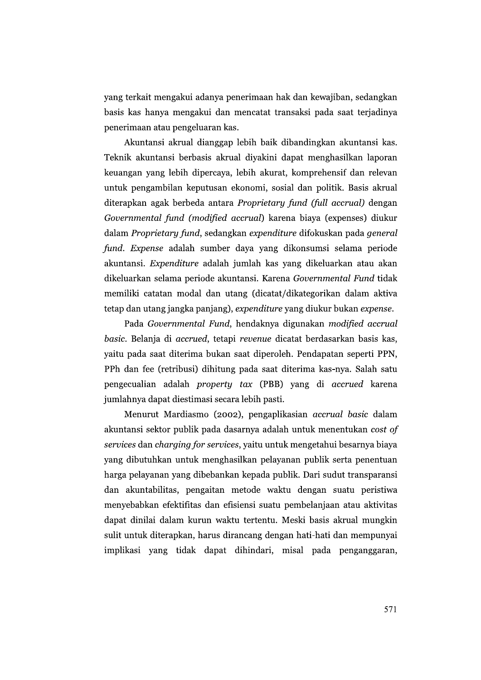yang terkait mengakui adanya penerimaan hak dan kewajiban, sedangkan basis kas hanya mengakui dan mencatat transaksi pada saat terjadinya penerimaan atau pengeluaran kas.

Akuntansi akrual dianggap lebih baik dibandingkan akuntansi kas. Teknik akuntansi berbasis akrual diyakini dapat menghasilkan laporan keuangan yang lebih dipercaya, lebih akurat, komprehensif dan relevan untuk pengambilan keputusan ekonomi, sosial dan politik. Basis akrual diterapkan agak berbeda antara Proprietary fund (full accrual) dengan Governmental fund (modified accrual) karena biaya (expenses) diukur dalam Proprietary fund, sedangkan expenditure difokuskan pada general fund. Expense adalah sumber daya yang dikonsumsi selama periode akuntansi. Expenditure adalah jumlah kas yang dikeluarkan atau akan dikeluarkan selama periode akuntansi. Karena Governmental Fund tidak memiliki catatan modal dan utang (dicatat/dikategorikan dalam aktiva tetap dan utang jangka panjang), expenditure yang diukur bukan expense.

Pada Governmental Fund, hendaknya digunakan modified accrual basic. Belanja di accrued, tetapi revenue dicatat berdasarkan basis kas, yaitu pada saat diterima bukan saat diperoleh. Pendapatan seperti PPN, PPh dan fee (retribusi) dihitung pada saat diterima kas-nya. Salah satu pengecualian adalah *property tax* (PBB) yang di accrued karena jumlahnya dapat diestimasi secara lebih pasti.

Menurut Mardiasmo (2002), pengaplikasian accrual basic dalam akuntansi sektor publik pada dasarnya adalah untuk menentukan cost of services dan charging for services, yaitu untuk mengetahui besarnya biaya yang dibutuhkan untuk menghasilkan pelayanan publik serta penentuan harga pelayanan yang dibebankan kepada publik. Dari sudut transparansi dan akuntabilitas, pengaitan metode waktu dengan suatu peristiwa menyebabkan efektifitas dan efisiensi suatu pembelanjaan atau aktivitas dapat dinilai dalam kurun waktu tertentu. Meski basis akrual mungkin sulit untuk diterapkan, harus dirancang dengan hati-hati dan mempunyai implikasi yang tidak dapat dihindari, misal pada penganggaran,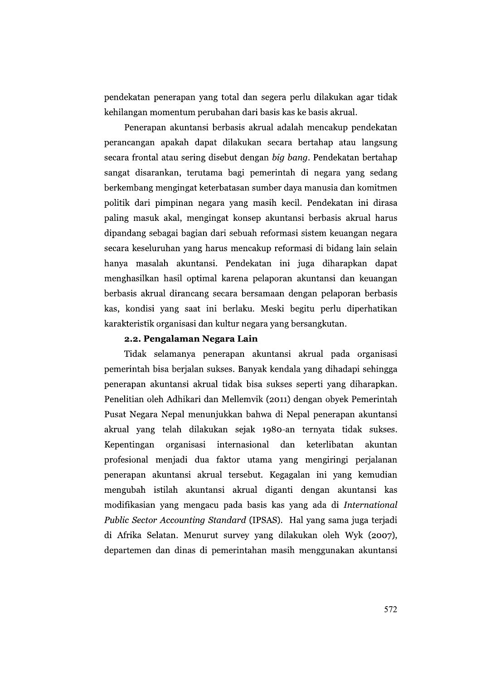pendekatan penerapan yang total dan segera perlu dilakukan agar tidak kehilangan momentum perubahan dari basis kas ke basis akrual.

Penerapan akuntansi berbasis akrual adalah mencakup pendekatan perancangan apakah dapat dilakukan secara bertahap atau langsung secara frontal atau sering disebut dengan big bang. Pendekatan bertahap sangat disarankan, terutama bagi pemerintah di negara yang sedang berkembang mengingat keterbatasan sumber daya manusia dan komitmen politik dari pimpinan negara yang masih kecil. Pendekatan ini dirasa paling masuk akal, mengingat konsep akuntansi berbasis akrual harus dipandang sebagai bagian dari sebuah reformasi sistem keuangan negara secara keseluruhan yang harus mencakup reformasi di bidang lain selain hanya masalah akuntansi. Pendekatan ini juga diharapkan dapat menghasilkan hasil optimal karena pelaporan akuntansi dan keuangan berbasis akrual dirancang secara bersamaan dengan pelaporan berbasis kas, kondisi yang saat ini berlaku. Meski begitu perlu diperhatikan karakteristik organisasi dan kultur negara yang bersangkutan.

# 2.2. Pengalaman Negara Lain

Tidak selamanya penerapan akuntansi akrual pada organisasi pemerintah bisa berjalan sukses. Banyak kendala yang dihadapi sehingga penerapan akuntansi akrual tidak bisa sukses seperti yang diharapkan. Penelitian oleh Adhikari dan Mellemvik (2011) dengan obyek Pemerintah Pusat Negara Nepal menunjukkan bahwa di Nepal penerapan akuntansi akrual yang telah dilakukan sejak 1980-an ternyata tidak sukses. Kepentingan organisasi internasional dan keterlibatan akuntan profesional menjadi dua faktor utama yang mengiringi perjalanan penerapan akuntansi akrual tersebut. Kegagalan ini yang kemudian mengubah istilah akuntansi akrual diganti dengan akuntansi kas modifikasian yang mengacu pada basis kas yang ada di International *Public Sector Accounting Standard (IPSAS).* Hal yang sama juga terjadi di Afrika Selatan. Menurut survey yang dilakukan oleh Wyk (2007), departemen dan dinas di pemerintahan masih menggunakan akuntansi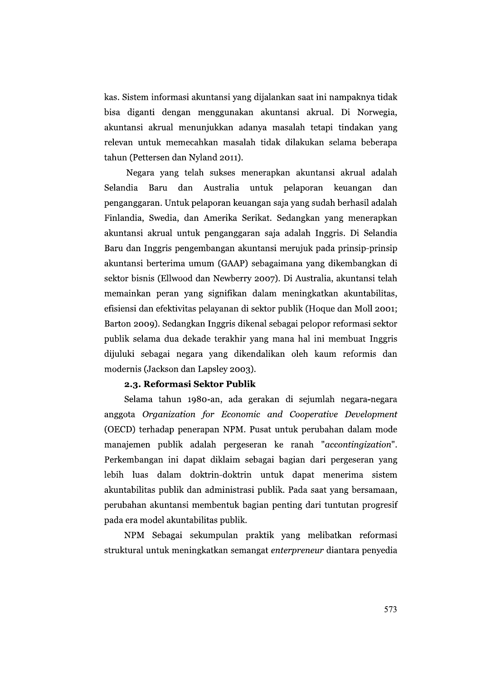kas. Sistem informasi akuntansi yang dijalankan saat ini nampaknya tidak bisa diganti dengan menggunakan akuntansi akrual. Di Norwegia, akuntansi akrual menunjukkan adanya masalah tetapi tindakan yang relevan untuk memecahkan masalah tidak dilakukan selama beberapa tahun (Pettersen dan Nyland 2011).

Negara yang telah sukses menerapkan akuntansi akrual adalah Selandia Baru dan Australia untuk pelaporan keuangan dan penganggaran. Untuk pelaporan keuangan saja yang sudah berhasil adalah Finlandia, Swedia, dan Amerika Serikat. Sedangkan yang menerapkan akuntansi akrual untuk penganggaran saja adalah Inggris. Di Selandia Baru dan Inggris pengembangan akuntansi merujuk pada prinsip-prinsip akuntansi berterima umum (GAAP) sebagaimana yang dikembangkan di sektor bisnis (Ellwood dan Newberry 2007). Di Australia, akuntansi telah memainkan peran yang signifikan dalam meningkatkan akuntabilitas, efisiensi dan efektivitas pelayanan di sektor publik (Hoque dan Moll 2001; Barton 2009). Sedangkan Inggris dikenal sebagai pelopor reformasi sektor publik selama dua dekade terakhir yang mana hal ini membuat Inggris dijuluki sebagai negara yang dikendalikan oleh kaum reformis dan modernis (Jackson dan Lapsley 2003).

# 2.3. Reformasi Sektor Publik

Selama tahun 1980-an, ada gerakan di sejumlah negara-negara anggota Organization for Economic and Cooperative Development (OECD) terhadap penerapan NPM. Pusat untuk perubahan dalam mode manajemen publik adalah pergeseran ke ranah "accontingization". Perkembangan ini dapat diklaim sebagai bagian dari pergeseran yang lebih luas dalam doktrin-doktrin untuk dapat menerima sistem akuntabilitas publik dan administrasi publik. Pada saat yang bersamaan, perubahan akuntansi membentuk bagian penting dari tuntutan progresif pada era model akuntabilitas publik.

NPM Sebagai sekumpulan praktik yang melibatkan reformasi struktural untuk meningkatkan semangat enterpreneur diantara penyedia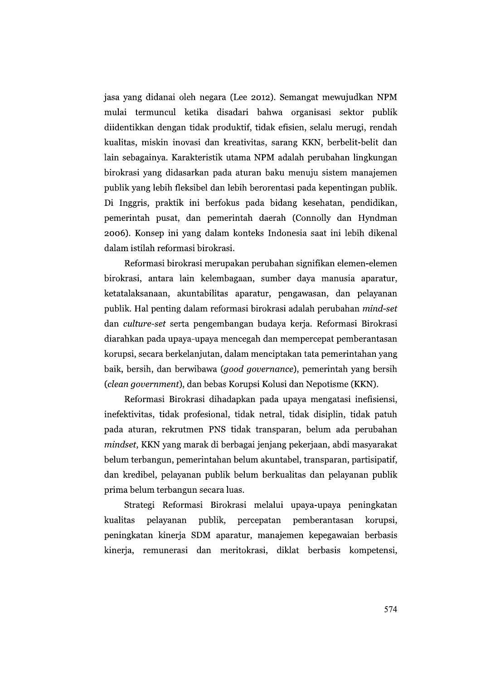jasa yang didanai oleh negara (Lee 2012). Semangat mewujudkan NPM mulai termuncul ketika disadari bahwa organisasi sektor publik diidentikkan dengan tidak produktif, tidak efisien, selalu merugi, rendah kualitas, miskin inovasi dan kreativitas, sarang KKN, berbelit-belit dan lain sebagainya. Karakteristik utama NPM adalah perubahan lingkungan birokrasi yang didasarkan pada aturan baku menuju sistem manajemen publik yang lebih fleksibel dan lebih berorentasi pada kepentingan publik. Di Inggris, praktik ini berfokus pada bidang kesehatan, pendidikan, pemerintah pusat, dan pemerintah daerah (Connolly dan Hyndman 2006). Konsep ini yang dalam konteks Indonesia saat ini lebih dikenal dalam istilah reformasi birokrasi.

Reformasi birokrasi merupakan perubahan signifikan elemen-elemen birokrasi, antara lain kelembagaan, sumber daya manusia aparatur, ketatalaksanaan, akuntabilitas aparatur, pengawasan, dan pelayanan publik. Hal penting dalam reformasi birokrasi adalah perubahan mind-set dan culture-set serta pengembangan budaya kerja. Reformasi Birokrasi diarahkan pada upaya-upaya mencegah dan mempercepat pemberantasan korupsi, secara berkelanjutan, dalam menciptakan tata pemerintahan yang baik, bersih, dan berwibawa (*good governance*), pemerintah yang bersih (clean government), dan bebas Korupsi Kolusi dan Nepotisme (KKN).

Reformasi Birokrasi dihadapkan pada upaya mengatasi inefisiensi, inefektivitas, tidak profesional, tidak netral, tidak disiplin, tidak patuh pada aturan, rekrutmen PNS tidak transparan, belum ada perubahan mindset, KKN yang marak di berbagai jenjang pekerjaan, abdi masyarakat belum terbangun, pemerintahan belum akuntabel, transparan, partisipatif, dan kredibel, pelayanan publik belum berkualitas dan pelayanan publik prima belum terbangun secara luas.

Strategi Reformasi Birokrasi melalui upaya-upaya peningkatan kualitas publik, percepatan pemberantasan pelayanan korupsi, peningkatan kinerja SDM aparatur, manajemen kepegawaian berbasis kinerja, remunerasi dan meritokrasi, diklat berbasis kompetensi,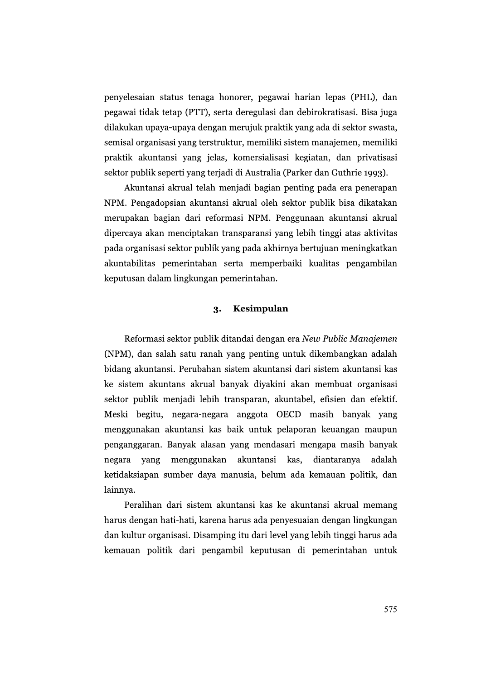penyelesaian status tenaga honorer, pegawai harian lepas (PHL), dan pegawai tidak tetap (PTT), serta deregulasi dan debirokratisasi. Bisa juga dilakukan upaya-upaya dengan merujuk praktik yang ada di sektor swasta, semisal organisasi yang terstruktur, memiliki sistem manajemen, memiliki praktik akuntansi yang jelas, komersialisasi kegiatan, dan privatisasi sektor publik seperti yang terjadi di Australia (Parker dan Guthrie 1993).

Akuntansi akrual telah menjadi bagian penting pada era penerapan NPM. Pengadopsian akuntansi akrual oleh sektor publik bisa dikatakan merupakan bagian dari reformasi NPM. Penggunaan akuntansi akrual dipercaya akan menciptakan transparansi yang lebih tinggi atas aktivitas pada organisasi sektor publik yang pada akhirnya bertujuan meningkatkan akuntabilitas pemerintahan serta memperbaiki kualitas pengambilan keputusan dalam lingkungan pemerintahan.

#### Kesimpulan 3.

Reformasi sektor publik ditandai dengan era New Public Manajemen (NPM), dan salah satu ranah yang penting untuk dikembangkan adalah bidang akuntansi. Perubahan sistem akuntansi dari sistem akuntansi kas ke sistem akuntans akrual banyak diyakini akan membuat organisasi sektor publik menjadi lebih transparan, akuntabel, efisien dan efektif. Meski begitu, negara-negara anggota OECD masih banyak yang menggunakan akuntansi kas baik untuk pelaporan keuangan maupun penganggaran. Banyak alasan yang mendasari mengapa masih banyak negara vang menggunakan akuntansi kas, diantaranya adalah ketidaksiapan sumber daya manusia, belum ada kemauan politik, dan lainnya.

Peralihan dari sistem akuntansi kas ke akuntansi akrual memang harus dengan hati-hati, karena harus ada penyesuaian dengan lingkungan dan kultur organisasi. Disamping itu dari level yang lebih tinggi harus ada kemauan politik dari pengambil keputusan di pemerintahan untuk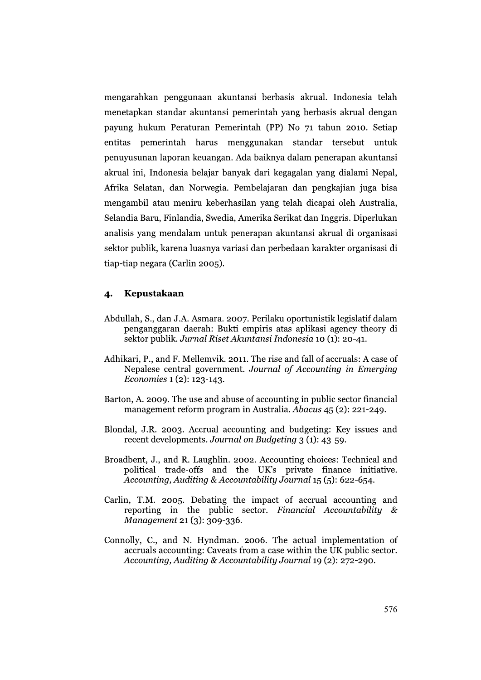mengarahkan penggunaan akuntansi berbasis akrual. Indonesia telah menetapkan standar akuntansi pemerintah yang berbasis akrual dengan payung hukum Peraturan Pemerintah (PP) No 71 tahun 2010. Setiap entitas pemerintah harus menggunakan standar tersebut untuk penuyusunan laporan keuangan. Ada baiknya dalam penerapan akuntansi akrual ini, Indonesia belajar banyak dari kegagalan yang dialami Nepal, Afrika Selatan, dan Norwegia. Pembelajaran dan pengkajian juga bisa mengambil atau meniru keberhasilan yang telah dicapai oleh Australia, Selandia Baru, Finlandia, Swedia, Amerika Serikat dan Inggris. Diperlukan analisis yang mendalam untuk penerapan akuntansi akrual di organisasi sektor publik, karena luasnya variasi dan perbedaan karakter organisasi di tiap-tiap negara (Carlin 2005).

#### Kepustakaan  $\overline{\mathbf{4}}$

- Abdullah, S., dan J.A. Asmara. 2007. Perilaku oportunistik legislatif dalam penganggaran daerah: Bukti empiris atas aplikasi agency theory di sektor publik. Jurnal Riset Akuntansi Indonesia 10 (1): 20-41.
- Adhikari, P., and F. Mellemvik. 2011. The rise and fall of accruals: A case of Nepalese central government. Journal of Accounting in Emerging Economies 1 (2): 123-143.
- Barton, A. 2009. The use and abuse of accounting in public sector financial management reform program in Australia. Abacus 45 (2): 221-249.
- Blondal, J.R. 2003. Accrual accounting and budgeting: Key issues and recent developments. Journal on Budgeting 3 (1): 43-59.
- Broadbent, J., and R. Laughlin. 2002. Accounting choices: Technical and political trade-offs and the UK's private finance initiative. Accounting, Auditing & Accountability Journal 15 (5): 622-654.
- Carlin, T.M. 2005. Debating the impact of accrual accounting and reporting in the public sector. Financial Accountability  $\&$ Management 21 (3): 309-336.
- Connolly, C., and N. Hyndman. 2006. The actual implementation of accruals accounting: Caveats from a case within the UK public sector. Accounting, Auditing & Accountability Journal 19 (2): 272-290.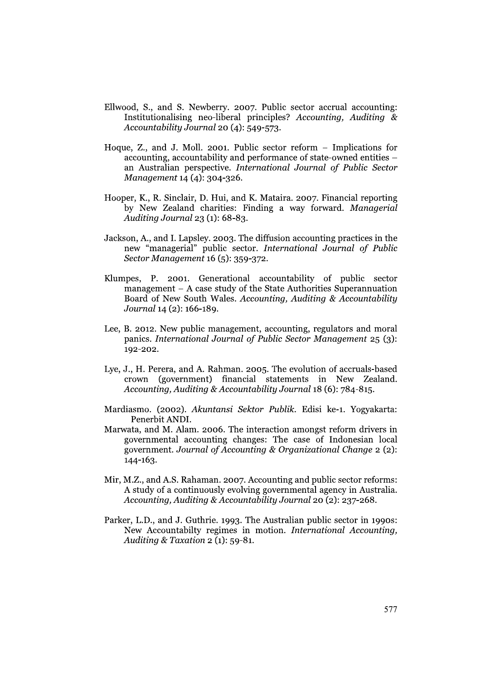- Ellwood, S., and S. Newberry. 2007. Public sector accrual accounting: Institutionalising neo-liberal principles? Accounting, Auditing & Accountability Journal 20 (4): 549-573.
- Hoque, Z., and J. Moll. 2001. Public sector reform Implications for accounting, accountability and performance of state-owned entities – an Australian perspective. International Journal of Public Sector Management 14 (4): 304-326.
- Hooper, K., R. Sinclair, D. Hui, and K. Mataira. 2007. Financial reporting by New Zealand charities: Finding a way forward. Managerial Auditing Journal 23 (1): 68-83.
- Jackson, A., and I. Lapsley. 2003. The diffusion accounting practices in the new "managerial" public sector. International Journal of Public Sector Management 16 (5): 359-372.
- Klumpes, P. 2001. Generational accountability of public sector management  $-$  A case study of the State Authorities Superannuation Board of New South Wales. Accounting, Auditing & Accountability Journal 14 (2): 166-189.
- Lee, B. 2012. New public management, accounting, regulators and moral panics. International Journal of Public Sector Management 25 (3): 192-202.
- Lye, J., H. Perera, and A. Rahman. 2005. The evolution of accruals-based crown (government) financial statements in New Zealand. Accounting, Auditing & Accountability Journal 18 (6): 784-815.
- Mardiasmo. (2002). Akuntansi Sektor Publik. Edisi ke-1. Yogyakarta: Penerbit ANDI.
- Marwata, and M. Alam. 2006. The interaction amongst reform drivers in governmental accounting changes: The case of Indonesian local government. Journal of Accounting & Organizational Change 2 (2):  $144 - 163.$
- Mir, M.Z., and A.S. Rahaman. 2007. Accounting and public sector reforms: A study of a continuously evolving governmental agency in Australia. Accounting, Auditing & Accountability Journal 20 (2): 237-268.
- Parker, L.D., and J. Guthrie. 1993. The Australian public sector in 1990s: New Accountabilty regimes in motion. International Accounting, Auditing & Taxation  $2$  (1): 59-81.